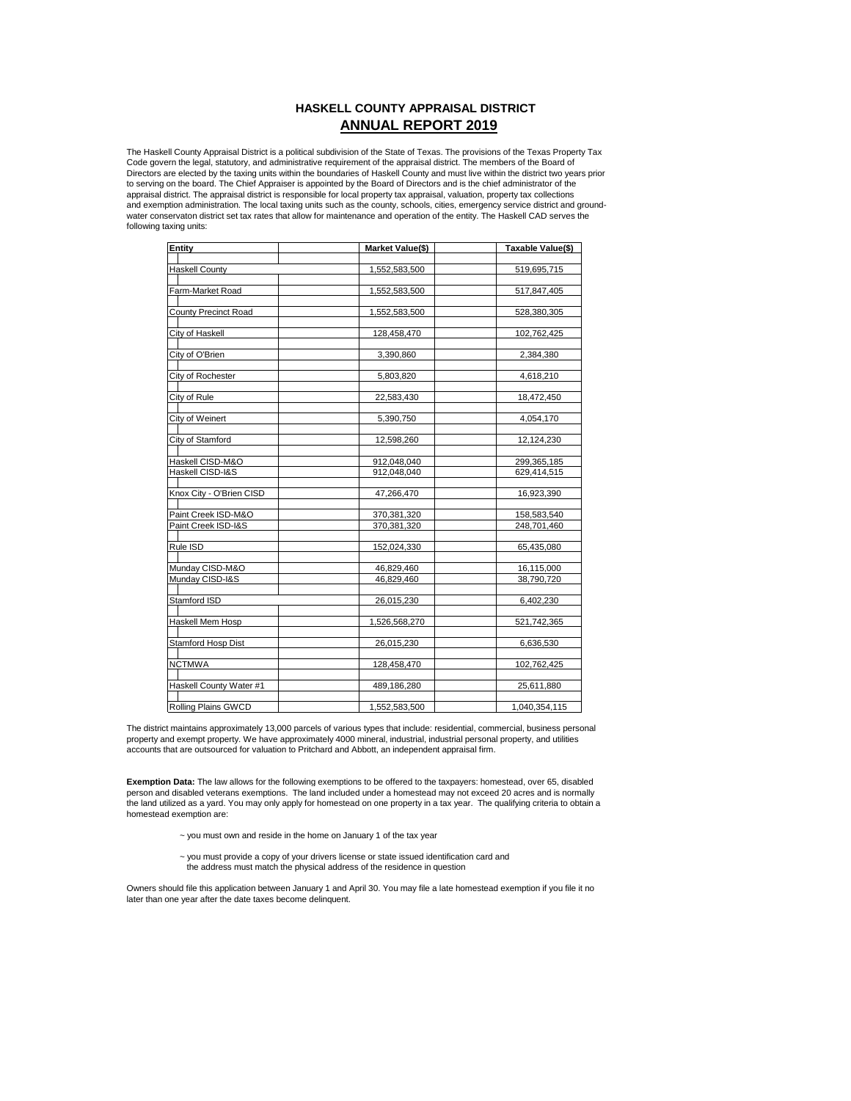# **HASKELL COUNTY APPRAISAL DISTRICT ANNUAL REPORT 2019**

The Haskell County Appraisal District is a political subdivision of the State of Texas. The provisions of the Texas Property Tax<br>Code govern the legal, statutory, and administrative requirement of the appraisal district. T Directors are elected by the taxing units within the boundaries of Haskell County and must live within the district two years prior to serving on the board. The Chief Appraiser is appointed by the Board of Directors and is the chief administrator of the appraisal district. The appraisal district is responsible for local property tax appraisal, valuation, property tax collections and exemption administration. The local taxing units such as the county, schools, cities, emergency service district and groundwater conservaton district set tax rates that allow for maintenance and operation of the entity. The Haskell CAD serves the following taxing units:

| <b>Entity</b>              | Market Value(\$) | Taxable Value(\$) |
|----------------------------|------------------|-------------------|
|                            |                  |                   |
| <b>Haskell County</b>      | 1,552,583,500    | 519,695,715       |
|                            |                  |                   |
| Farm-Market Road           | 1,552,583,500    | 517,847,405       |
|                            |                  |                   |
| County Precinct Road       | 1,552,583,500    | 528,380,305       |
|                            |                  |                   |
| City of Haskell            | 128,458,470      | 102,762,425       |
|                            |                  |                   |
| City of O'Brien            | 3,390,860        | 2,384,380         |
|                            |                  |                   |
| City of Rochester          | 5,803,820        | 4,618,210         |
|                            |                  |                   |
| City of Rule               | 22,583,430       | 18,472,450        |
|                            |                  |                   |
| City of Weinert            | 5,390,750        | 4,054,170         |
|                            |                  |                   |
| City of Stamford           | 12,598,260       | 12,124,230        |
|                            |                  |                   |
| Haskell CISD-M&O           | 912,048,040      | 299,365,185       |
| Haskell CISD-I&S           | 912,048,040      | 629,414,515       |
|                            |                  |                   |
| Knox City - O'Brien CISD   | 47,266,470       | 16,923,390        |
|                            |                  |                   |
| Paint Creek ISD-M&O        | 370,381,320      | 158,583,540       |
| Paint Creek ISD-I&S        | 370,381,320      | 248,701,460       |
|                            |                  |                   |
| Rule ISD                   | 152,024,330      | 65,435,080        |
|                            |                  |                   |
| Munday CISD-M&O            | 46,829,460       | 16,115,000        |
| Munday CISD-I&S            | 46,829,460       | 38,790,720        |
|                            |                  |                   |
| Stamford ISD               | 26,015,230       | 6,402,230         |
|                            |                  |                   |
| Haskell Mem Hosp           | 1,526,568,270    | 521,742,365       |
|                            |                  |                   |
| Stamford Hosp Dist         | 26,015,230       | 6,636,530         |
|                            |                  |                   |
| <b>NCTMWA</b>              | 128,458,470      | 102,762,425       |
|                            |                  |                   |
| Haskell County Water #1    | 489,186,280      | 25,611,880        |
|                            |                  |                   |
| <b>Rolling Plains GWCD</b> | 1,552,583,500    | 1,040,354,115     |

The district maintains approximately 13,000 parcels of various types that include: residential, commercial, business personal property and exempt property. We have approximately 4000 mineral, industrial, industrial personal property, and utilities accounts that are outsourced for valuation to Pritchard and Abbott, an independent appraisal firm.

**Exemption Data:** The law allows for the following exemptions to be offered to the taxpayers: homestead, over 65, disabled person and disabled veterans exemptions. The land included under a homestead may not exceed 20 acres and is normally the land utilized as a yard. You may only apply for homestead on one property in a tax year. The qualifying criteria to obtain a homestead exemption are:

- $\sim$  you must own and reside in the home on January 1 of the tax year
- ~ you must provide a copy of your drivers license or state issued identification card and the address must match the physical address of the residence in question

Owners should file this application between January 1 and April 30. You may file a late homestead exemption if you file it no later than one year after the date taxes become delinquent.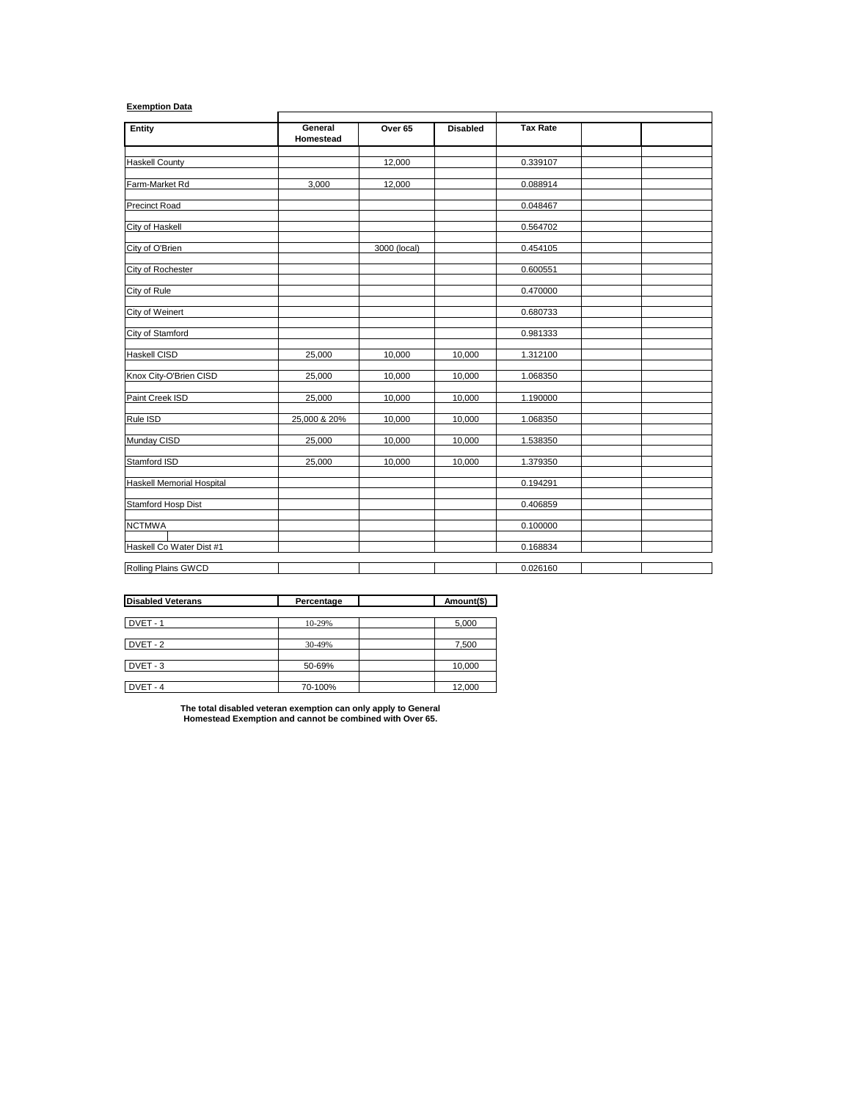# **Exemption Data**

| Entity                           | General<br>Homestead | Over 65      | <b>Disabled</b> | <b>Tax Rate</b> |  |
|----------------------------------|----------------------|--------------|-----------------|-----------------|--|
|                                  |                      |              |                 |                 |  |
| <b>Haskell County</b>            |                      | 12,000       |                 | 0.339107        |  |
| Farm-Market Rd                   | 3,000                | 12,000       |                 | 0.088914        |  |
| <b>Precinct Road</b>             |                      |              |                 | 0.048467        |  |
| City of Haskell                  |                      |              |                 | 0.564702        |  |
| City of O'Brien                  |                      | 3000 (local) |                 | 0.454105        |  |
| City of Rochester                |                      |              |                 | 0.600551        |  |
| City of Rule                     |                      |              |                 | 0.470000        |  |
| <b>City of Weinert</b>           |                      |              |                 | 0.680733        |  |
| City of Stamford                 |                      |              |                 | 0.981333        |  |
| Haskell CISD                     | 25,000               | 10,000       | 10,000          | 1.312100        |  |
| Knox City-O'Brien CISD           | 25,000               | 10,000       | 10,000          | 1.068350        |  |
| Paint Creek ISD                  | 25,000               | 10,000       | 10,000          | 1.190000        |  |
| Rule ISD                         | 25,000 & 20%         | 10,000       | 10,000          | 1.068350        |  |
| Munday CISD                      | 25,000               | 10,000       | 10,000          | 1.538350        |  |
| Stamford ISD                     | 25,000               | 10,000       | 10,000          | 1.379350        |  |
| <b>Haskell Memorial Hospital</b> |                      |              |                 | 0.194291        |  |
| Stamford Hosp Dist               |                      |              |                 | 0.406859        |  |
| <b>NCTMWA</b>                    |                      |              |                 | 0.100000        |  |
| Haskell Co Water Dist #1         |                      |              |                 | 0.168834        |  |
| Rolling Plains GWCD              |                      |              |                 | 0.026160        |  |

| <b>Disabled Veterans</b> | Percentage | Amount(\$) |
|--------------------------|------------|------------|
|                          |            |            |
| DVET-1                   | 10-29%     | 5,000      |
|                          |            |            |
| DVET-2                   | 30-49%     | 7,500      |
|                          |            |            |
| DVET-3                   | 50-69%     | 10,000     |
|                          |            |            |
| DVET-4                   | 70-100%    | 12,000     |

**The total disabled veteran exemption can only apply to General Homestead Exemption and cannot be combined with Over 65.**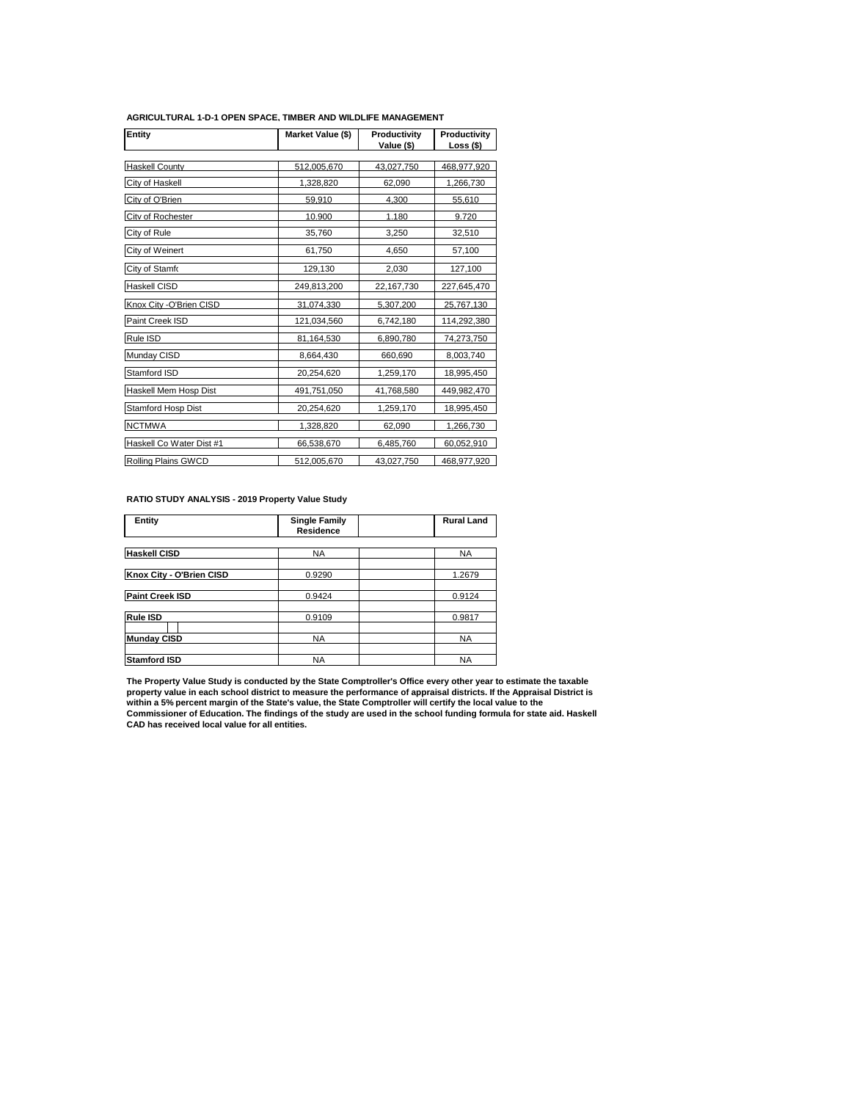| Entity                     | Market Value (\$) | Productivity<br>Value (\$) | Productivity<br>Loss (\$) |
|----------------------------|-------------------|----------------------------|---------------------------|
| <b>Haskell County</b>      | 512.005.670       | 43.027.750                 | 468.977.920               |
|                            |                   |                            |                           |
| City of Haskell            | 1,328,820         | 62,090                     | 1,266,730                 |
| City of O'Brien            | 59,910            | 4.300                      | 55,610                    |
| City of Rochester          | 10.900            | 1.180                      | 9.720                     |
| City of Rule               | 35,760            | 3,250                      | 32,510                    |
| City of Weinert            | 61,750            | 4,650                      | 57,100                    |
| City of Stamfo             | 129,130           | 2,030                      | 127,100                   |
| Haskell CISD               | 249,813,200       | 22,167,730                 | 227,645,470               |
| Knox City - O'Brien CISD   | 31,074,330        | 5,307,200                  | 25,767,130                |
| Paint Creek ISD            | 121,034,560       | 6,742,180                  | 114,292,380               |
| Rule ISD                   | 81,164,530        | 6,890,780                  | 74,273,750                |
| Munday CISD                | 8,664,430         | 660,690                    | 8,003,740                 |
| Stamford ISD               | 20,254,620        | 1,259,170                  | 18,995,450                |
| Haskell Mem Hosp Dist      | 491,751,050       | 41,768,580                 | 449,982,470               |
| Stamford Hosp Dist         | 20,254,620        | 1,259,170                  | 18,995,450                |
| <b>NCTMWA</b>              | 1,328,820         | 62,090                     | 1,266,730                 |
| Haskell Co Water Dist #1   | 66,538,670        | 6,485,760                  | 60,052,910                |
| <b>Rolling Plains GWCD</b> | 512,005,670       | 43,027,750                 | 468,977,920               |

#### **AGRICULTURAL 1-D-1 OPEN SPACE, TIMBER AND WILDLIFE MANAGEMENT**

## **RATIO STUDY ANALYSIS - 2019 Property Value Study**

| Entity                   | <b>Single Family</b><br>Residence | <b>Rural Land</b> |
|--------------------------|-----------------------------------|-------------------|
|                          |                                   |                   |
| <b>Haskell CISD</b>      | <b>NA</b>                         | <b>NA</b>         |
|                          |                                   |                   |
| Knox City - O'Brien CISD | 0.9290                            | 1.2679            |
|                          |                                   |                   |
| <b>Paint Creek ISD</b>   | 0.9424                            | 0.9124            |
|                          |                                   |                   |
| Rule ISD                 | 0.9109                            | 0.9817            |
|                          |                                   |                   |
| <b>Munday CISD</b>       | <b>NA</b>                         | <b>NA</b>         |
|                          |                                   |                   |
| <b>Stamford ISD</b>      | <b>NA</b>                         | <b>NA</b>         |

The Property Value Study is conducted by the State Comptroller's Office every other year to estimate the taxable<br>property value in each school district to measure the performance of appraisal districts. If the Appraisal Di